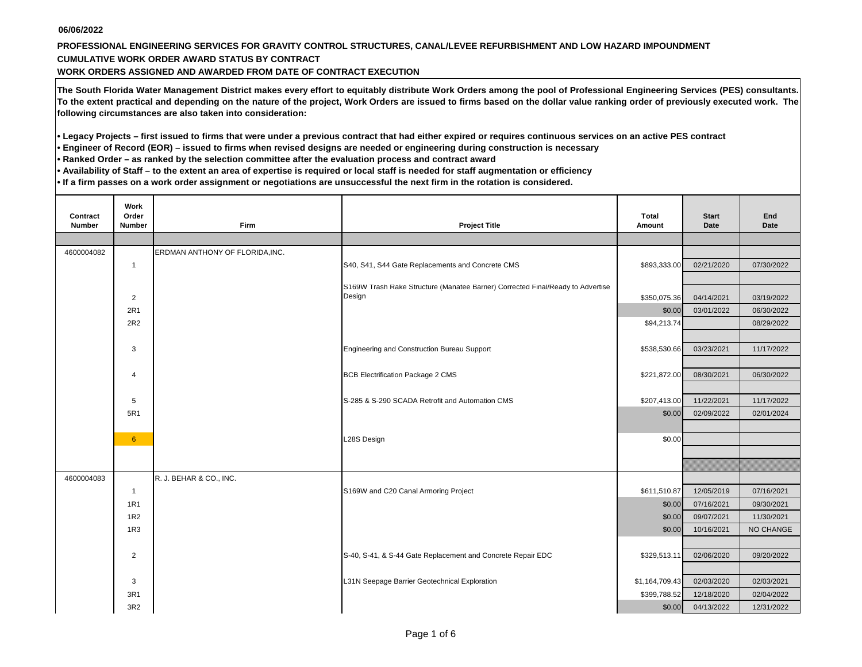## **PROFESSIONAL ENGINEERING SERVICES FOR GRAVITY CONTROL STRUCTURES, CANAL/LEVEE REFURBISHMENT AND LOW HAZARD IMPOUNDMENT CUMULATIVE WORK ORDER AWARD STATUS BY CONTRACT**

**WORK ORDERS ASSIGNED AND AWARDED FROM DATE OF CONTRACT EXECUTION**

**The South Florida Water Management District makes every effort to equitably distribute Work Orders among the pool of Professional Engineering Services (PES) consultants. To the extent practical and depending on the nature of the project, Work Orders are issued to firms based on the dollar value ranking order of previously executed work. The following circumstances are also taken into consideration:**

**• Legacy Projects – first issued to firms that were under a previous contract that had either expired or requires continuous services on an active PES contract** 

**• Engineer of Record (EOR) – issued to firms when revised designs are needed or engineering during construction is necessary**

**• Ranked Order – as ranked by the selection committee after the evaluation process and contract award**

**• Availability of Staff – to the extent an area of expertise is required or local staff is needed for staff augmentation or efficiency**

**• If a firm passes on a work order assignment or negotiations are unsuccessful the next firm in the rotation is considered.** 

| Contract<br>Number | Work<br>Order<br>Number | <b>Firm</b>                     | <b>Project Title</b>                                                            | Total<br>Amount | <b>Start</b><br>Date | End<br><b>Date</b> |
|--------------------|-------------------------|---------------------------------|---------------------------------------------------------------------------------|-----------------|----------------------|--------------------|
|                    |                         |                                 |                                                                                 |                 |                      |                    |
| 4600004082         |                         | ERDMAN ANTHONY OF FLORIDA, INC. |                                                                                 |                 |                      |                    |
|                    | $\mathbf{1}$            |                                 | S40, S41, S44 Gate Replacements and Concrete CMS                                | \$893,333.00    | 02/21/2020           | 07/30/2022         |
|                    |                         |                                 | S169W Trash Rake Structure (Manatee Barrier) Corrected Final/Ready to Advertise |                 |                      |                    |
|                    | $\overline{2}$          |                                 | Design                                                                          | \$350,075.36    | 04/14/2021           | 03/19/2022         |
|                    | 2R1                     |                                 |                                                                                 | \$0.00          | 03/01/2022           | 06/30/2022         |
|                    | 2R2                     |                                 |                                                                                 | \$94,213.74     |                      | 08/29/2022         |
|                    |                         |                                 |                                                                                 |                 |                      |                    |
|                    | 3                       |                                 | Engineering and Construction Bureau Support                                     | \$538,530.66    | 03/23/2021           | 11/17/2022         |
|                    |                         |                                 |                                                                                 |                 |                      |                    |
|                    | 4                       |                                 | <b>BCB Electrification Package 2 CMS</b>                                        | \$221,872.00    | 08/30/2021           | 06/30/2022         |
|                    |                         |                                 |                                                                                 |                 |                      |                    |
|                    | 5                       |                                 | S-285 & S-290 SCADA Retrofit and Automation CMS                                 | \$207,413.00    | 11/22/2021           | 11/17/2022         |
|                    | 5R1                     |                                 |                                                                                 | \$0.00          | 02/09/2022           | 02/01/2024         |
|                    |                         |                                 |                                                                                 |                 |                      |                    |
|                    | 6 <sup>°</sup>          |                                 | L28S Design                                                                     | \$0.00          |                      |                    |
|                    |                         |                                 |                                                                                 |                 |                      |                    |
| 4600004083         |                         | R. J. BEHAR & CO., INC.         |                                                                                 |                 |                      |                    |
|                    | $\mathbf{1}$            |                                 | S169W and C20 Canal Armoring Project                                            | \$611,510.87    | 12/05/2019           | 07/16/2021         |
|                    | 1R1                     |                                 |                                                                                 | \$0.00          | 07/16/2021           | 09/30/2021         |
|                    | 1R2                     |                                 |                                                                                 | \$0.00          | 09/07/2021           | 11/30/2021         |
|                    | 1R3                     |                                 |                                                                                 | \$0.00          | 10/16/2021           | NO CHANGE          |
|                    |                         |                                 |                                                                                 |                 |                      |                    |
|                    | 2                       |                                 | S-40, S-41, & S-44 Gate Replacement and Concrete Repair EDC                     | \$329,513.11    | 02/06/2020           | 09/20/2022         |
|                    |                         |                                 |                                                                                 |                 |                      |                    |
|                    | 3                       |                                 | L31N Seepage Barrier Geotechnical Exploration                                   | \$1,164,709.43  | 02/03/2020           | 02/03/2021         |
|                    | 3R1                     |                                 |                                                                                 | \$399,788.52    | 12/18/2020           | 02/04/2022         |
|                    | 3R2                     |                                 |                                                                                 | \$0.00          | 04/13/2022           | 12/31/2022         |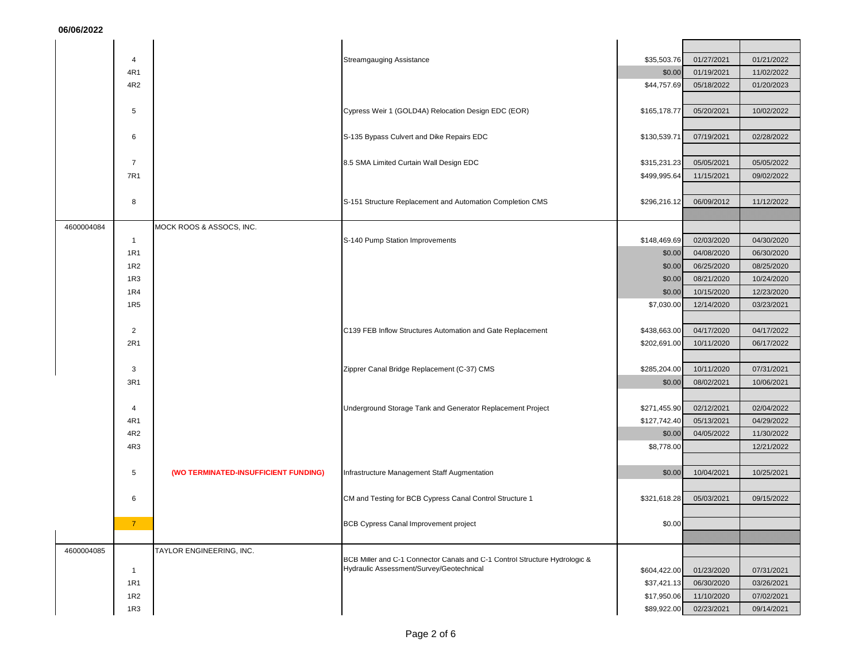|            | 4               |                                      | <b>Streamgauging Assistance</b>                                                                                        | \$35,503.76  | 01/27/2021 | 01/21/2022 |
|------------|-----------------|--------------------------------------|------------------------------------------------------------------------------------------------------------------------|--------------|------------|------------|
|            | 4R1             |                                      |                                                                                                                        | \$0.00       | 01/19/2021 | 11/02/2022 |
|            | 4R2             |                                      |                                                                                                                        | \$44,757.69  | 05/18/2022 | 01/20/2023 |
|            |                 |                                      |                                                                                                                        |              |            |            |
|            | 5               |                                      | Cypress Weir 1 (GOLD4A) Relocation Design EDC (EOR)                                                                    | \$165,178.77 | 05/20/2021 | 10/02/2022 |
|            |                 |                                      |                                                                                                                        |              |            |            |
|            |                 |                                      |                                                                                                                        |              |            |            |
|            | 6               |                                      | S-135 Bypass Culvert and Dike Repairs EDC                                                                              | \$130,539.71 | 07/19/2021 | 02/28/2022 |
|            |                 |                                      |                                                                                                                        |              |            |            |
|            | $\overline{7}$  |                                      | 8.5 SMA Limited Curtain Wall Design EDC                                                                                | \$315,231.23 | 05/05/2021 | 05/05/2022 |
|            | 7R1             |                                      |                                                                                                                        | \$499,995.64 | 11/15/2021 | 09/02/2022 |
|            |                 |                                      |                                                                                                                        |              |            |            |
|            | 8               |                                      | S-151 Structure Replacement and Automation Completion CMS                                                              | \$296,216.12 | 06/09/2012 | 11/12/2022 |
|            |                 |                                      |                                                                                                                        |              |            |            |
| 4600004084 |                 | MOCK ROOS & ASSOCS, INC.             |                                                                                                                        |              |            |            |
|            | $\mathbf{1}$    |                                      | S-140 Pump Station Improvements                                                                                        | \$148,469.69 | 02/03/2020 | 04/30/2020 |
|            | 1R1             |                                      |                                                                                                                        | \$0.00       | 04/08/2020 | 06/30/2020 |
|            | 1R2             |                                      |                                                                                                                        | \$0.00       | 06/25/2020 | 08/25/2020 |
|            | 1R3             |                                      |                                                                                                                        | \$0.00       | 08/21/2020 | 10/24/2020 |
|            | 1R4             |                                      |                                                                                                                        | \$0.00       | 10/15/2020 | 12/23/2020 |
|            | 1R <sub>5</sub> |                                      |                                                                                                                        | \$7,030.00   | 12/14/2020 | 03/23/2021 |
|            |                 |                                      |                                                                                                                        |              |            |            |
|            |                 |                                      |                                                                                                                        |              |            |            |
|            | $\overline{2}$  |                                      | C139 FEB Inflow Structures Automation and Gate Replacement                                                             | \$438,663.00 | 04/17/2020 | 04/17/2022 |
|            | 2R1             |                                      |                                                                                                                        | \$202,691.00 | 10/11/2020 | 06/17/2022 |
|            |                 |                                      |                                                                                                                        |              |            |            |
|            | 3               |                                      | Zipprer Canal Bridge Replacement (C-37) CMS                                                                            | \$285,204.00 | 10/11/2020 | 07/31/2021 |
|            | 3R1             |                                      |                                                                                                                        | \$0.00       | 08/02/2021 | 10/06/2021 |
|            |                 |                                      |                                                                                                                        |              |            |            |
|            | 4               |                                      | Underground Storage Tank and Generator Replacement Project                                                             | \$271,455.90 | 02/12/2021 | 02/04/2022 |
|            | 4R1             |                                      |                                                                                                                        | \$127,742.40 | 05/13/2021 | 04/29/2022 |
|            | 4R2             |                                      |                                                                                                                        | \$0.00       | 04/05/2022 | 11/30/2022 |
|            | 4R3             |                                      |                                                                                                                        | \$8,778.00   |            | 12/21/2022 |
|            |                 |                                      |                                                                                                                        |              |            |            |
|            | 5               | (WO TERMINATED-INSUFFICIENT FUNDING) | Infrastructure Management Staff Augmentation                                                                           | \$0.00       | 10/04/2021 | 10/25/2021 |
|            |                 |                                      |                                                                                                                        |              |            |            |
|            | 6               |                                      | CM and Testing for BCB Cypress Canal Control Structure 1                                                               | \$321,618.28 | 05/03/2021 | 09/15/2022 |
|            |                 |                                      |                                                                                                                        |              |            |            |
|            |                 |                                      |                                                                                                                        |              |            |            |
|            |                 |                                      | <b>BCB Cypress Canal Improvement project</b>                                                                           | \$0.00       |            |            |
|            |                 |                                      |                                                                                                                        |              |            |            |
| 4600004085 |                 | TAYLOR ENGINEERING, INC.             |                                                                                                                        |              |            |            |
|            | $\overline{1}$  |                                      | BCB Miller and C-1 Connector Canals and C-1 Control Structure Hydrologic &<br>Hydraulic Assessment/Survey/Geotechnical | \$604,422.00 | 01/23/2020 | 07/31/2021 |
|            | 1R1             |                                      |                                                                                                                        | \$37,421.13  | 06/30/2020 | 03/26/2021 |
|            |                 |                                      |                                                                                                                        |              |            |            |
|            | <b>1R2</b>      |                                      |                                                                                                                        | \$17,950.06  | 11/10/2020 | 07/02/2021 |
|            | <b>1R3</b>      |                                      |                                                                                                                        | \$89,922.00  | 02/23/2021 | 09/14/2021 |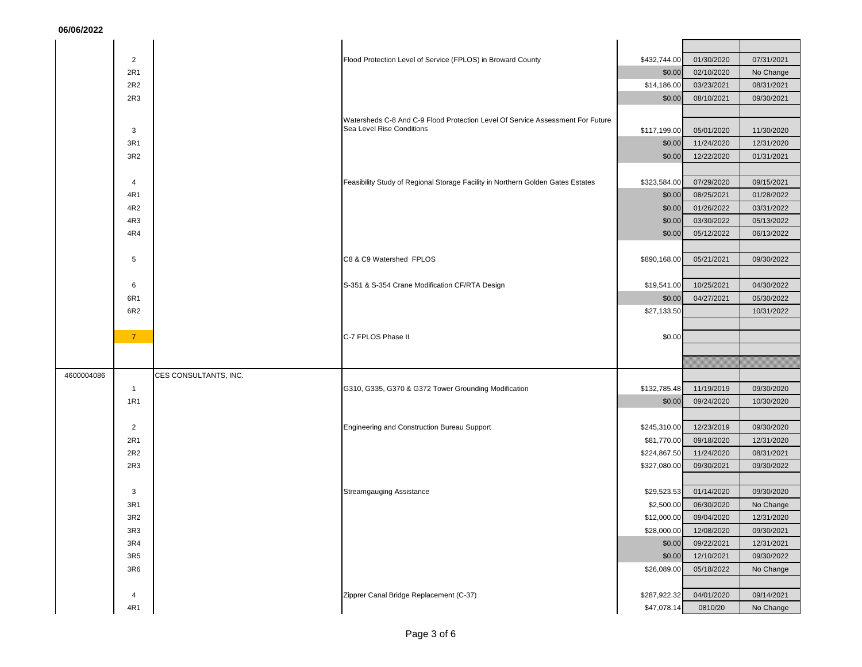|            | $\overline{2}$  |                       | Flood Protection Level of Service (FPLOS) in Broward County                                                 | \$432,744.00 | 01/30/2020 | 07/31/2021 |
|------------|-----------------|-----------------------|-------------------------------------------------------------------------------------------------------------|--------------|------------|------------|
|            | 2R1             |                       |                                                                                                             | \$0.00       | 02/10/2020 | No Change  |
|            | 2R2             |                       |                                                                                                             | \$14,186.00  | 03/23/2021 | 08/31/2021 |
|            | 2R3             |                       |                                                                                                             | \$0.00       | 08/10/2021 | 09/30/2021 |
|            |                 |                       |                                                                                                             |              |            |            |
|            | 3               |                       | Watersheds C-8 And C-9 Flood Protection Level Of Service Assessment For Future<br>Sea Level Rise Conditions | \$117,199.00 | 05/01/2020 | 11/30/2020 |
|            | 3R1             |                       |                                                                                                             | \$0.00       | 11/24/2020 | 12/31/2020 |
|            | 3R <sub>2</sub> |                       |                                                                                                             | \$0.00       | 12/22/2020 | 01/31/2021 |
|            |                 |                       |                                                                                                             |              |            |            |
|            | 4               |                       | Feasibility Study of Regional Storage Facility in Northern Golden Gates Estates                             | \$323,584.00 | 07/29/2020 | 09/15/2021 |
|            | 4R1             |                       |                                                                                                             | \$0.00       | 08/25/2021 | 01/28/2022 |
|            | 4R2             |                       |                                                                                                             | \$0.00       | 01/26/2022 | 03/31/2022 |
|            | 4R3             |                       |                                                                                                             | \$0.00       | 03/30/2022 | 05/13/2022 |
|            | 4R4             |                       |                                                                                                             | \$0.00       | 05/12/2022 | 06/13/2022 |
|            |                 |                       |                                                                                                             |              |            |            |
|            | 5               |                       | C8 & C9 Watershed FPLOS                                                                                     | \$890,168.00 | 05/21/2021 | 09/30/2022 |
|            |                 |                       |                                                                                                             |              |            |            |
|            | 6               |                       | S-351 & S-354 Crane Modification CF/RTA Design                                                              | \$19,541.00  | 10/25/2021 | 04/30/2022 |
|            | 6R1             |                       |                                                                                                             | \$0.00       | 04/27/2021 | 05/30/2022 |
|            | 6R2             |                       |                                                                                                             | \$27,133.50  |            | 10/31/2022 |
|            | 7 <sup>7</sup>  |                       | C-7 FPLOS Phase II                                                                                          |              |            |            |
|            |                 |                       |                                                                                                             | \$0.00       |            |            |
|            |                 |                       |                                                                                                             |              |            |            |
| 4600004086 |                 | CES CONSULTANTS, INC. |                                                                                                             |              |            |            |
|            | $\mathbf{1}$    |                       | G310, G335, G370 & G372 Tower Grounding Modification                                                        | \$132,785.48 | 11/19/2019 | 09/30/2020 |
|            | 1R1             |                       |                                                                                                             | \$0.00       | 09/24/2020 | 10/30/2020 |
|            |                 |                       |                                                                                                             |              |            |            |
|            | 2               |                       | Engineering and Construction Bureau Support                                                                 | \$245,310.00 | 12/23/2019 | 09/30/2020 |
|            | 2R1             |                       |                                                                                                             | \$81,770.00  | 09/18/2020 | 12/31/2020 |
|            | 2R2             |                       |                                                                                                             | \$224,867.50 | 11/24/2020 | 08/31/2021 |
|            | 2R3             |                       |                                                                                                             | \$327,080.00 | 09/30/2021 | 09/30/2022 |
|            |                 |                       |                                                                                                             |              |            |            |
|            | 3               |                       | <b>Streamgauging Assistance</b>                                                                             | \$29,523.53  | 01/14/2020 | 09/30/2020 |
|            | 3R1             |                       |                                                                                                             | \$2,500.00   | 06/30/2020 | No Change  |
|            | 3R2             |                       |                                                                                                             | \$12,000.00  | 09/04/2020 | 12/31/2020 |
|            | 3R3             |                       |                                                                                                             | \$28,000.00  | 12/08/2020 | 09/30/2021 |
|            | 3R4             |                       |                                                                                                             | \$0.00       | 09/22/2021 | 12/31/2021 |
|            | 3R5             |                       |                                                                                                             | \$0.00       | 12/10/2021 | 09/30/2022 |
|            | 3R6             |                       |                                                                                                             | \$26,089.00  | 05/18/2022 | No Change  |
|            |                 |                       | Zipprer Canal Bridge Replacement (C-37)                                                                     | \$287,922.32 | 04/01/2020 | 09/14/2021 |
|            | 4<br>4R1        |                       |                                                                                                             | \$47,078.14  | 0810/20    |            |
|            |                 |                       |                                                                                                             |              |            | No Change  |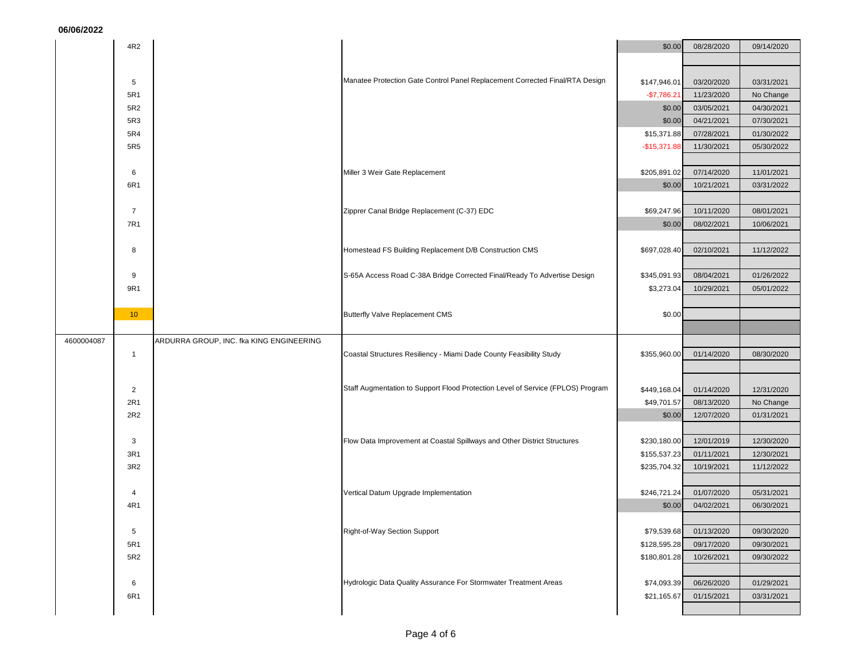|            | 4R2             |                                          |                                                                                 | \$0.00                       | 08/28/2020               | 09/14/2020              |
|------------|-----------------|------------------------------------------|---------------------------------------------------------------------------------|------------------------------|--------------------------|-------------------------|
|            |                 |                                          |                                                                                 |                              |                          |                         |
|            |                 |                                          | Manatee Protection Gate Control Panel Replacement Corrected Final/RTA Design    |                              |                          |                         |
|            | 5<br>5R1        |                                          |                                                                                 | \$147,946.01<br>$-$7,786.21$ | 03/20/2020<br>11/23/2020 | 03/31/2021<br>No Change |
|            | 5R2             |                                          |                                                                                 | \$0.00                       | 03/05/2021               | 04/30/2021              |
|            | 5R3             |                                          |                                                                                 | \$0.00                       | 04/21/2021               | 07/30/2021              |
|            | 5R4             |                                          |                                                                                 | \$15,371.88                  | 07/28/2021               | 01/30/2022              |
|            | 5R5             |                                          |                                                                                 | $-$15,371.88$                | 11/30/2021               | 05/30/2022              |
|            |                 |                                          |                                                                                 |                              |                          |                         |
|            | 6               |                                          | Miller 3 Weir Gate Replacement                                                  | \$205,891.02                 | 07/14/2020               | 11/01/2021              |
|            | 6R1             |                                          |                                                                                 | \$0.00                       | 10/21/2021               | 03/31/2022              |
|            |                 |                                          |                                                                                 |                              |                          |                         |
|            | $\overline{7}$  |                                          | Zipprer Canal Bridge Replacement (C-37) EDC                                     | \$69,247.96                  | 10/11/2020               | 08/01/2021              |
|            | 7R1             |                                          |                                                                                 | \$0.00                       | 08/02/2021               | 10/06/2021              |
|            | 8               |                                          | Homestead FS Building Replacement D/B Construction CMS                          | \$697,028.40                 | 02/10/2021               | 11/12/2022              |
|            |                 |                                          |                                                                                 |                              |                          |                         |
|            | 9               |                                          | S-65A Access Road C-38A Bridge Corrected Final/Ready To Advertise Design        | \$345,091.93                 | 08/04/2021               | 01/26/2022              |
|            | 9R1             |                                          |                                                                                 | \$3,273.04                   | 10/29/2021               | 05/01/2022              |
|            |                 |                                          |                                                                                 |                              |                          |                         |
|            | 10 <sup>°</sup> |                                          | <b>Butterfly Valve Replacement CMS</b>                                          | \$0.00                       |                          |                         |
|            |                 |                                          |                                                                                 |                              |                          |                         |
| 4600004087 |                 | ARDURRA GROUP, INC. fka KING ENGINEERING |                                                                                 |                              |                          |                         |
|            | $\overline{1}$  |                                          | Coastal Structures Resiliency - Miami Dade County Feasibility Study             | \$355,960.00                 | 01/14/2020               | 08/30/2020              |
|            |                 |                                          |                                                                                 |                              |                          |                         |
|            | $\overline{2}$  |                                          | Staff Augmentation to Support Flood Protection Level of Service (FPLOS) Program | \$449,168.04                 | 01/14/2020               | 12/31/2020              |
|            | 2R1             |                                          |                                                                                 | \$49,701.57                  | 08/13/2020               | No Change               |
|            | 2R2             |                                          |                                                                                 | \$0.00                       | 12/07/2020               | 01/31/2021              |
|            |                 |                                          |                                                                                 |                              |                          |                         |
|            | 3               |                                          | Flow Data Improvement at Coastal Spillways and Other District Structures        | \$230,180.00                 | 12/01/2019               | 12/30/2020              |
|            | 3R1             |                                          |                                                                                 | \$155,537.23                 | 01/11/2021               | 12/30/2021              |
|            | 3R2             |                                          |                                                                                 | \$235,704.32                 | 10/19/2021               | 11/12/2022              |
|            | $\overline{4}$  |                                          |                                                                                 | \$246,721.24                 | 01/07/2020               | 05/31/2021              |
|            | 4R1             |                                          | Vertical Datum Upgrade Implementation                                           | \$0.00                       | 04/02/2021               | 06/30/2021              |
|            |                 |                                          |                                                                                 |                              |                          |                         |
|            |                 |                                          |                                                                                 |                              |                          |                         |
|            | 5               |                                          |                                                                                 | \$79,539.68                  | 01/13/2020               | 09/30/2020              |
|            | 5R1             |                                          | Right-of-Way Section Support                                                    | \$128,595.28                 | 09/17/2020               | 09/30/2021              |
|            | 5R2             |                                          |                                                                                 | \$180,801.28                 | 10/26/2021               | 09/30/2022              |
|            |                 |                                          |                                                                                 |                              |                          |                         |
|            | 6               |                                          | Hydrologic Data Quality Assurance For Stormwater Treatment Areas                | \$74,093.39                  | 06/26/2020               | 01/29/2021              |
|            | 6R1             |                                          |                                                                                 | \$21,165.67                  | 01/15/2021               | 03/31/2021              |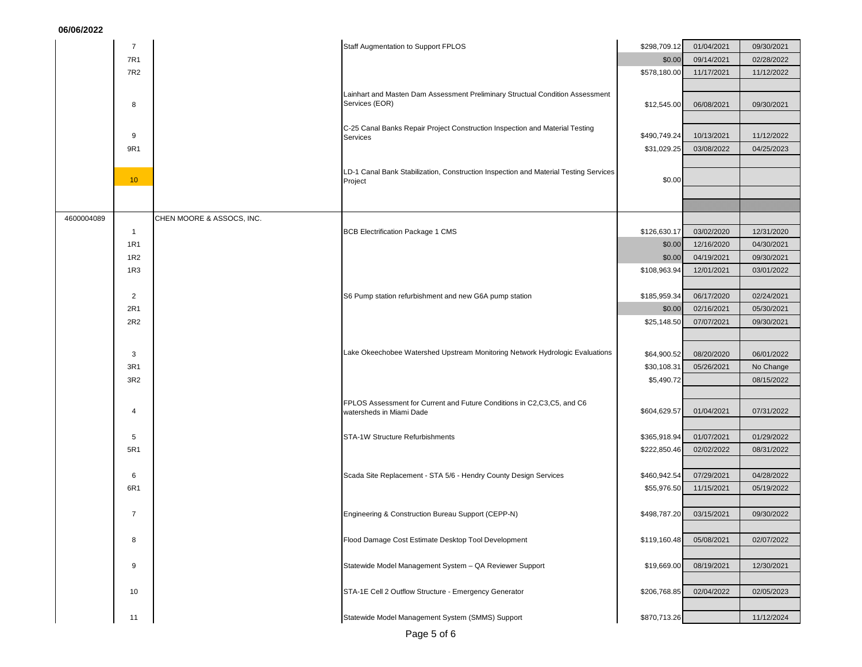|            | $\overline{7}$  | Staff Augmentation to Support FPLOS                                                             | \$298,709.12              | 01/04/2021 | 09/30/2021              |
|------------|-----------------|-------------------------------------------------------------------------------------------------|---------------------------|------------|-------------------------|
|            | 7R1             |                                                                                                 | \$0.00                    | 09/14/2021 | 02/28/2022              |
|            | 7R2             |                                                                                                 | \$578,180.00              | 11/17/2021 | 11/12/2022              |
|            |                 |                                                                                                 |                           |            |                         |
|            | 8               | Lainhart and Masten Dam Assessment Preliminary Structual Condition Assessment<br>Services (EOR) | \$12,545.00               | 06/08/2021 | 09/30/2021              |
|            |                 |                                                                                                 |                           |            |                         |
|            |                 | C-25 Canal Banks Repair Project Construction Inspection and Material Testing                    |                           |            |                         |
|            | 9               | Services                                                                                        | \$490,749.24              | 10/13/2021 | 11/12/2022              |
|            | 9R1             |                                                                                                 | \$31,029.25               | 03/08/2022 | 04/25/2023              |
|            |                 | LD-1 Canal Bank Stabilization, Construction Inspection and Material Testing Services            |                           |            |                         |
|            | 10 <sup>°</sup> | Project                                                                                         | \$0.00                    |            |                         |
|            |                 |                                                                                                 |                           |            |                         |
|            |                 |                                                                                                 |                           |            |                         |
| 4600004089 |                 | CHEN MOORE & ASSOCS, INC.                                                                       |                           |            |                         |
|            | $\overline{1}$  | <b>BCB Electrification Package 1 CMS</b>                                                        | \$126,630.17              | 03/02/2020 | 12/31/2020              |
|            | <b>1R1</b>      |                                                                                                 | \$0.00                    | 12/16/2020 | 04/30/2021              |
|            | 1R2             |                                                                                                 | \$0.00                    | 04/19/2021 | 09/30/2021              |
|            | 1R3             |                                                                                                 | \$108,963.94              | 12/01/2021 | 03/01/2022              |
|            | $\overline{2}$  | S6 Pump station refurbishment and new G6A pump station                                          | \$185,959.34              | 06/17/2020 | 02/24/2021              |
|            | 2R1             |                                                                                                 | \$0.00                    | 02/16/2021 | 05/30/2021              |
|            | 2R2             |                                                                                                 | \$25,148.50               | 07/07/2021 | 09/30/2021              |
|            |                 |                                                                                                 |                           |            |                         |
|            |                 | Lake Okeechobee Watershed Upstream Monitoring Network Hydrologic Evaluations                    |                           |            |                         |
|            | 3               |                                                                                                 | \$64,900.52               | 08/20/2020 | 06/01/2022              |
|            | 3R1<br>3R2      |                                                                                                 | \$30,108.31<br>\$5,490.72 | 05/26/2021 | No Change<br>08/15/2022 |
|            |                 |                                                                                                 |                           |            |                         |
|            |                 | FPLOS Assessment for Current and Future Conditions in C2,C3,C5, and C6                          |                           |            |                         |
|            | $\overline{4}$  | watersheds in Miami Dade                                                                        | \$604,629.57              | 01/04/2021 | 07/31/2022              |
|            |                 |                                                                                                 |                           |            |                         |
|            | 5               | STA-1W Structure Refurbishments                                                                 | \$365,918.94              | 01/07/2021 | 01/29/2022              |
|            | 5R1             |                                                                                                 | \$222,850.46              | 02/02/2022 | 08/31/2022              |
|            | 6               | Scada Site Replacement - STA 5/6 - Hendry County Design Services                                | \$460,942.54              | 07/29/2021 | 04/28/2022              |
|            | 6R1             |                                                                                                 | \$55,976.50               | 11/15/2021 | 05/19/2022              |
|            |                 |                                                                                                 |                           |            |                         |
|            | $\overline{7}$  | Engineering & Construction Bureau Support (CEPP-N)                                              | \$498,787.20              | 03/15/2021 | 09/30/2022              |
|            |                 |                                                                                                 |                           |            |                         |
|            | 8               | Flood Damage Cost Estimate Desktop Tool Development                                             | \$119,160.48              | 05/08/2021 | 02/07/2022              |
|            |                 |                                                                                                 |                           |            |                         |
|            | 9               | Statewide Model Management System - QA Reviewer Support                                         | \$19,669.00               | 08/19/2021 | 12/30/2021              |
|            |                 |                                                                                                 |                           |            |                         |
|            | 10              | STA-1E Cell 2 Outflow Structure - Emergency Generator                                           | \$206,768.85              | 02/04/2022 | 02/05/2023              |
|            |                 |                                                                                                 |                           |            |                         |
|            | 11              | Statewide Model Management System (SMMS) Support                                                | \$870,713.26              |            | 11/12/2024              |
|            |                 |                                                                                                 |                           |            |                         |